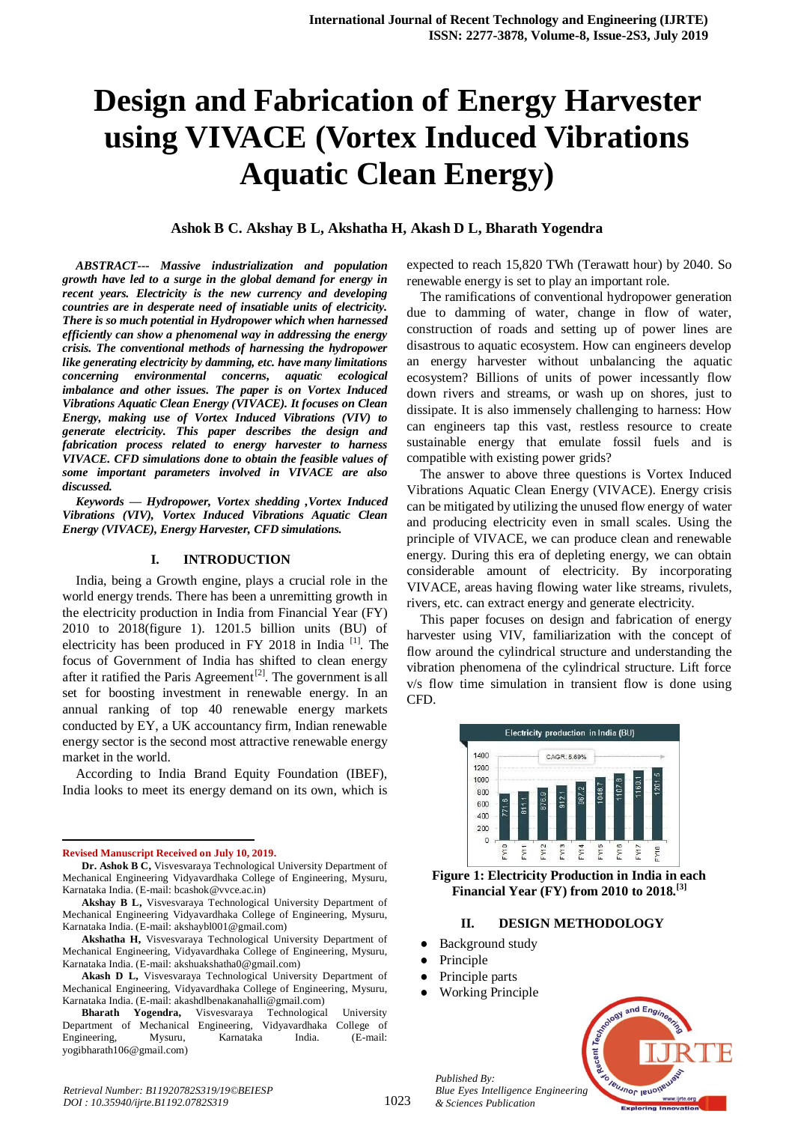# **Design and Fabrication of Energy Harvester using VIVACE (Vortex Induced Vibrations Aquatic Clean Energy)**

# **Ashok B C. Akshay B L, Akshatha H, Akash D L, Bharath Yogendra**

*ABSTRACT--- Massive industrialization and population growth have led to a surge in the global demand for energy in recent years. Electricity is the new currency and developing countries are in desperate need of insatiable units of electricity. There is so much potential in Hydropower which when harnessed efficiently can show a phenomenal way in addressing the energy crisis. The conventional methods of harnessing the hydropower like generating electricity by damming, etc. have many limitations concerning environmental concerns, aquatic ecological imbalance and other issues. The paper is on Vortex Induced Vibrations Aquatic Clean Energy (VIVACE). It focuses on Clean Energy, making use of Vortex Induced Vibrations (VIV) to generate electricity. This paper describes the design and fabrication process related to energy harvester to harness VIVACE. CFD simulations done to obtain the feasible values of some important parameters involved in VIVACE are also discussed.*

*Keywords — Hydropower, Vortex shedding ,Vortex Induced Vibrations (VIV), Vortex Induced Vibrations Aquatic Clean Energy (VIVACE), Energy Harvester, CFD simulations.*

#### **I. INTRODUCTION**

India, being a Growth engine, plays a crucial role in the world energy trends. There has been a unremitting growth in the electricity production in India from Financial Year (FY) 2010 to 2018(figure 1). 1201.5 billion units (BU) of electricity has been produced in FY 2018 in India  $^{[1]}$ . The focus of Government of India has shifted to clean energy after it ratified the Paris Agreement<sup>[2]</sup>. The government is all set for boosting investment in renewable energy. In an annual ranking of top 40 renewable energy markets conducted by EY, a UK accountancy firm, Indian renewable energy sector is the second most attractive renewable energy market in the world.

According to India Brand Equity Foundation (IBEF), India looks to meet its energy demand on its own, which is

**Revised Manuscript Received on July 10, 2019.**

1

expected to reach 15,820 TWh (Terawatt hour) by 2040. So renewable energy is set to play an important role.

The ramifications of conventional hydropower generation due to damming of water, change in flow of water, construction of roads and setting up of power lines are disastrous to aquatic ecosystem. How can engineers develop an energy harvester without unbalancing the aquatic ecosystem? Billions of units of power incessantly flow down rivers and streams, or wash up on shores, just to dissipate. It is also immensely challenging to harness: How can engineers tap this vast, restless resource to create sustainable energy that emulate fossil fuels and is compatible with existing power grids?

The answer to above three questions is Vortex Induced Vibrations Aquatic Clean Energy (VIVACE). Energy crisis can be mitigated by utilizing the unused flow energy of water and producing electricity even in small scales. Using the principle of VIVACE, we can produce clean and renewable energy. During this era of depleting energy, we can obtain considerable amount of electricity. By incorporating VIVACE, areas having flowing water like streams, rivulets, rivers, etc. can extract energy and generate electricity.

This paper focuses on design and fabrication of energy harvester using VIV, familiarization with the concept of flow around the cylindrical structure and understanding the vibration phenomena of the cylindrical structure. Lift force v/s flow time simulation in transient flow is done using CFD.



**Figure 1: Electricity Production in India in each Financial Year (FY) from 2010 to 2018.[3]**

#### **II. DESIGN METHODOLOGY**

- **Background study**
- Principle
- Principle parts

*Published By:*

*& Sciences Publication* 

**Working Principle** 



**Dr. Ashok B C,** Visvesvaraya Technological University Department of Mechanical Engineering Vidyavardhaka College of Engineering, Mysuru, Karnataka India. (E-mail: bcashok@vvce.ac.in)

**Akshay B L,** Visvesvaraya Technological University Department of Mechanical Engineering Vidyavardhaka College of Engineering, Mysuru, Karnataka India. (E-mail: akshaybl001@gmail.com)

**Akshatha H,** Visvesvaraya Technological University Department of Mechanical Engineering, Vidyavardhaka College of Engineering, Mysuru, Karnataka India. (E-mail: akshuakshatha0@gmail.com)

**Akash D L,** Visvesvaraya Technological University Department of Mechanical Engineering, Vidyavardhaka College of Engineering, Mysuru, Karnataka India. (E-mail: akashdlbenakanahalli@gmail.com)

**Bharath Yogendra,** Visvesvaraya Technological University Department of Mechanical Engineering, Vidyavardhaka College of Engineering, Mysuru, Karnataka India. (E-mail: yogibharath106@gmail.com)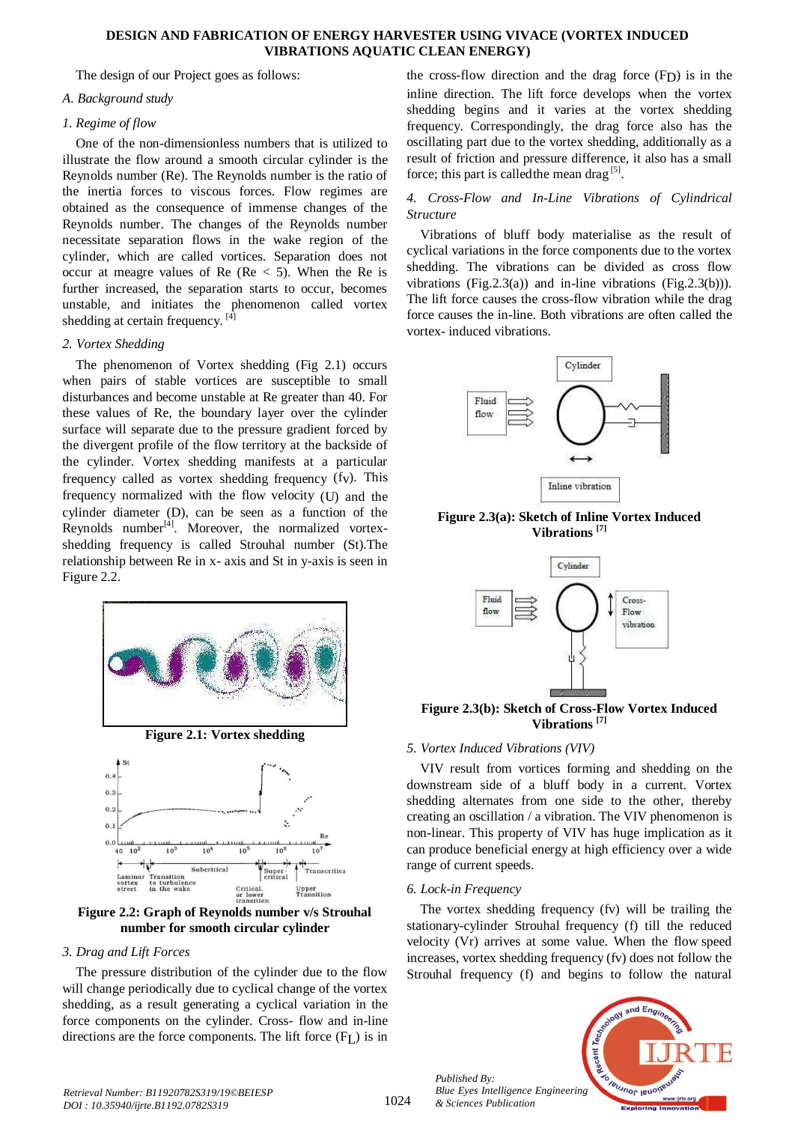#### **DESIGN AND FABRICATION OF ENERGY HARVESTER USING VIVACE (VORTEX INDUCED VIBRATIONS AQUATIC CLEAN ENERGY)**

The design of our Project goes as follows:

# *A. Background study*

# *1. Regime of flow*

One of the non-dimensionless numbers that is utilized to illustrate the flow around a smooth circular cylinder is the Reynolds number (Re). The Reynolds number is the ratio of the inertia forces to viscous forces. Flow regimes are obtained as the consequence of immense changes of the Reynolds number. The changes of the Reynolds number necessitate separation flows in the wake region of the cylinder, which are called vortices. Separation does not occur at meagre values of Re ( $Re < 5$ ). When the Re is further increased, the separation starts to occur, becomes unstable, and initiates the phenomenon called vortex shedding at certain frequency.  $[4]$ 

#### *2. Vortex Shedding*

The phenomenon of Vortex shedding (Fig 2.1) occurs when pairs of stable vortices are susceptible to small disturbances and become unstable at Re greater than 40. For these values of Re, the boundary layer over the cylinder surface will separate due to the pressure gradient forced by the divergent profile of the flow territory at the backside of the cylinder. Vortex shedding manifests at a particular frequency called as vortex shedding frequency (fv). This frequency normalized with the flow velocity (U) and the cylinder diameter (D), can be seen as a function of the Reynolds number $^{[4]}$ . Moreover, the normalized vortexshedding frequency is called Strouhal number (St).The relationship between Re in x- axis and St in y-axis is seen in Figure 2.2.



**Figure 2.1: Vortex shedding**



**Figure 2.2: Graph of Reynolds number v/s Strouhal number for smooth circular cylinder**

# *3. Drag and Lift Forces*

The pressure distribution of the cylinder due to the flow will change periodically due to cyclical change of the vortex shedding, as a result generating a cyclical variation in the force components on the cylinder. Cross- flow and in-line directions are the force components. The lift force  $(F<sub>L</sub>)$  is in

the cross-flow direction and the drag force  $(F<sub>D</sub>)$  is in the inline direction. The lift force develops when the vortex shedding begins and it varies at the vortex shedding frequency. Correspondingly, the drag force also has the oscillating part due to the vortex shedding, additionally as a result of friction and pressure difference, it also has a small force; this part is called the mean drag  $[5]$ .

# *4. Cross-Flow and In-Line Vibrations of Cylindrical Structure*

Vibrations of bluff body materialise as the result of cyclical variations in the force components due to the vortex shedding. The vibrations can be divided as cross flow vibrations (Fig.2.3(a)) and in-line vibrations (Fig.2.3(b))). The lift force causes the cross-flow vibration while the drag force causes the in-line. Both vibrations are often called the vortex- induced vibrations.



**Figure 2.3(a): Sketch of Inline Vortex Induced Vibrations [7]**



**Figure 2.3(b): Sketch of Cross-Flow Vortex Induced Vibrations [7]**

# *5. Vortex Induced Vibrations (VIV)*

VIV result from vortices forming and shedding on the downstream side of a bluff body in a current. Vortex shedding alternates from one side to the other, thereby creating an oscillation / a vibration. The VIV phenomenon is non-linear. This property of VIV has huge implication as it can produce beneficial energy at high efficiency over a wide range of current speeds.

# *6. Lock-in Frequency*

*Published By:*

*& Sciences Publication* 

The vortex shedding frequency (fv) will be trailing the stationary-cylinder Strouhal frequency (f) till the reduced velocity (Vr) arrives at some value. When the flow speed increases, vortex shedding frequency (fv) does not follow the Strouhal frequency (f) and begins to follow the natural

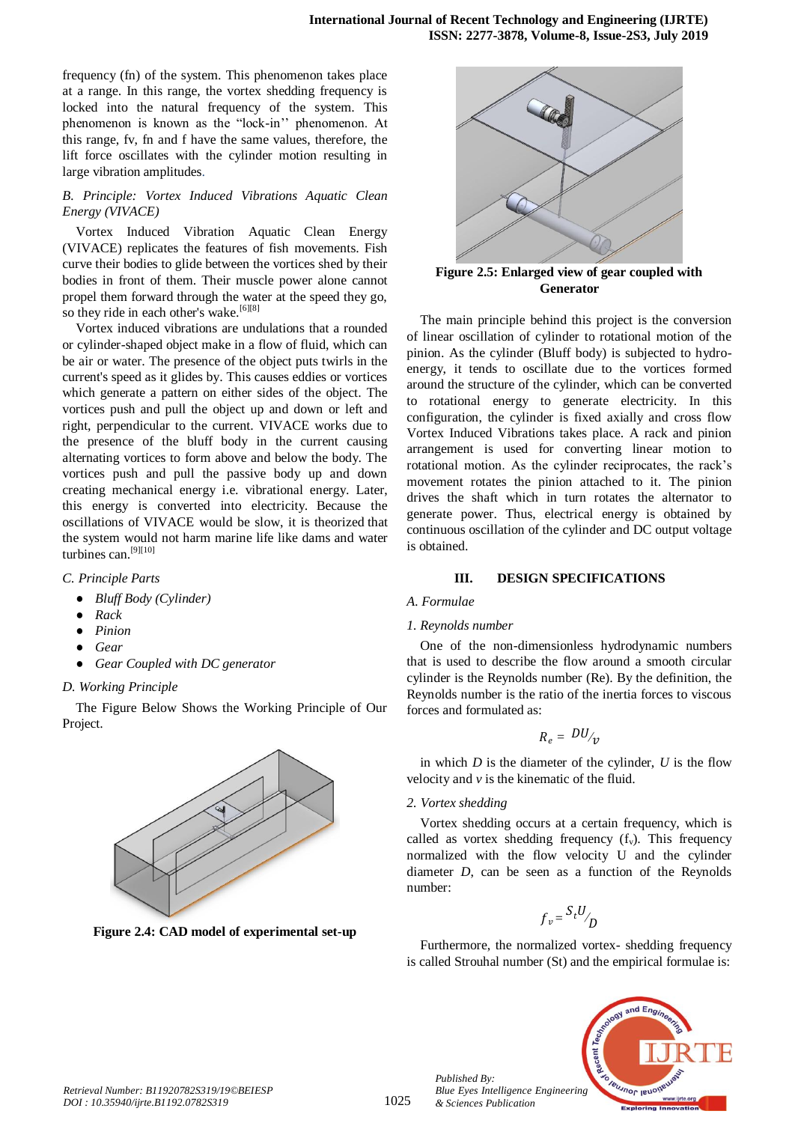frequency (fn) of the system. This phenomenon takes place at a range. In this range, the vortex shedding frequency is locked into the natural frequency of the system. This phenomenon is known as the "lock-in'' phenomenon. At this range, fv, fn and f have the same values, therefore, the lift force oscillates with the cylinder motion resulting in large vibration amplitudes.

# *B. Principle: Vortex Induced Vibrations Aquatic Clean Energy (VIVACE)*

Vortex Induced Vibration Aquatic Clean Energy (VIVACE) replicates the features of fish movements. Fish curve their bodies to glide between the vortices shed by their bodies in front of them. Their muscle power alone cannot propel them forward through the water at the speed they go, so they ride in each other's wake.<sup>[6][8]</sup>

Vortex induced vibrations are undulations that a rounded or cylinder-shaped object make in a flow of fluid, which can be air or water. The presence of the object puts twirls in the current's speed as it glides by. This causes eddies or vortices which generate a pattern on either sides of the object. The vortices push and pull the object up and down or left and right, perpendicular to the current. VIVACE works due to the presence of the bluff body in the current causing alternating vortices to form above and below the body. The vortices push and pull the passive body up and down creating mechanical energy i.e. vibrational energy. Later, this energy is converted into electricity. Because the oscillations of VIVACE would be slow, it is theorized that the system would not harm marine life like dams and water turbines can.[9][10]

# *C. Principle Parts*

- *● Bluff Body (Cylinder)*
- *● Rack*
- *● Pinion*
- *● Gear*
- *● Gear Coupled with DC generator*

# *D. Working Principle*

The Figure Below Shows the Working Principle of Our Project.



**Figure 2.4: CAD model of experimental set-up**



**Figure 2.5: Enlarged view of gear coupled with Generator**

The main principle behind this project is the conversion of linear oscillation of cylinder to rotational motion of the pinion. As the cylinder (Bluff body) is subjected to hydroenergy, it tends to oscillate due to the vortices formed around the structure of the cylinder, which can be converted to rotational energy to generate electricity. In this configuration, the cylinder is fixed axially and cross flow Vortex Induced Vibrations takes place. A rack and pinion arrangement is used for converting linear motion to rotational motion. As the cylinder reciprocates, the rack's movement rotates the pinion attached to it. The pinion drives the shaft which in turn rotates the alternator to generate power. Thus, electrical energy is obtained by continuous oscillation of the cylinder and DC output voltage is obtained.

# **III. DESIGN SPECIFICATIONS**

# *A. Formulae*

# *1. Reynolds number*

One of the non-dimensionless hydrodynamic numbers that is used to describe the flow around a smooth circular cylinder is the Reynolds number (Re). By the definition, the Reynolds number is the ratio of the inertia forces to viscous forces and formulated as:

$$
R_e = DU_{\mathcal{V}}
$$

in which *D* is the diameter of the cylinder, *U* is the flow velocity and *v* is the kinematic of the fluid.

# *2. Vortex shedding*

*Published By:*

*& Sciences Publication* 

Vortex shedding occurs at a certain frequency, which is called as vortex shedding frequency  $(f_y)$ . This frequency normalized with the flow velocity U and the cylinder diameter *D*, can be seen as a function of the Reynolds number:

$$
f_v = \frac{S_t U}{D}
$$

Furthermore, the normalized vortex- shedding frequency is called Strouhal number (St) and the empirical formulae is:

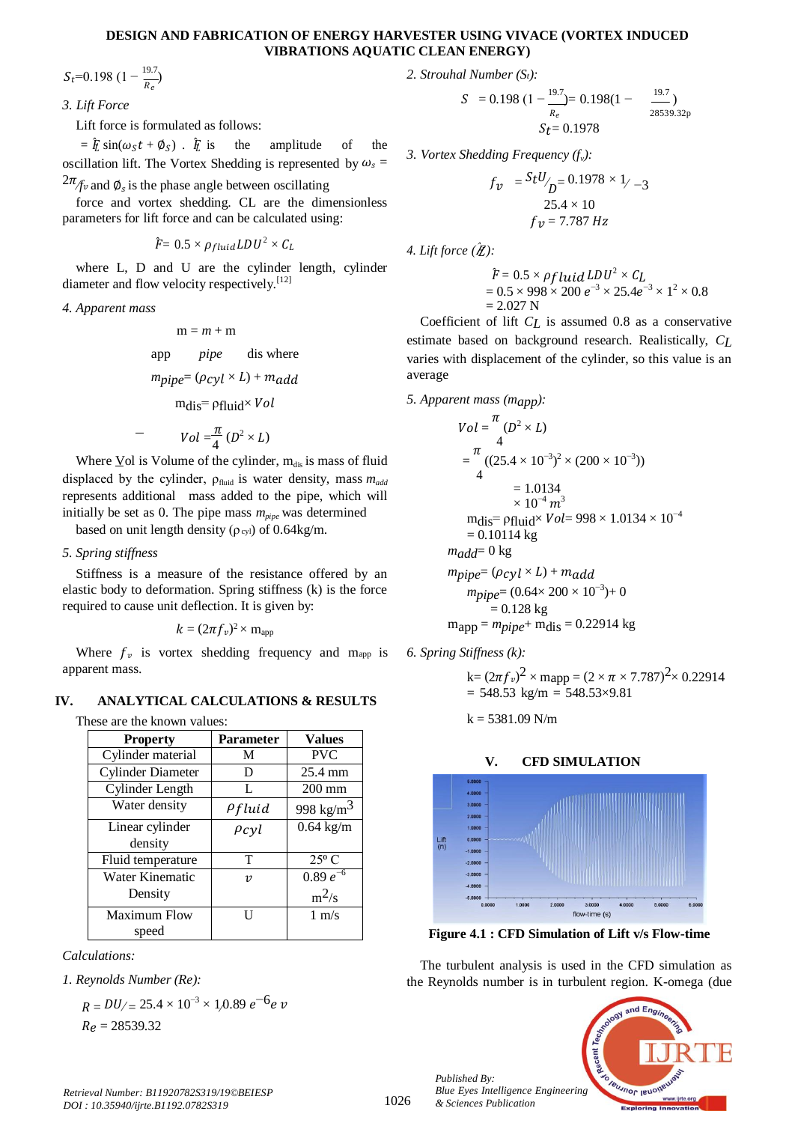#### **DESIGN AND FABRICATION OF ENERGY HARVESTER USING VIVACE (VORTEX INDUCED VIBRATIONS AQUATIC CLEAN ENERGY)**

 $S_t$ =0.198 (1 –  $\frac{19.7}{R_e}$ )

*3. Lift Force*

Lift force is formulated as follows:

 $=$   $\bar{t}$  sin( $\omega_{S}t + \phi_{S}$ ).  $\bar{t}$ the amplitude of the oscillation lift. The Vortex Shedding is represented by  $\omega_s$  =

 $2\pi$ /*fv* and  $\phi_s$  is the phase angle between oscillating

force and vortex shedding. CL are the dimensionless parameters for lift force and can be calculated using:

$$
\hat{F}{\rm = 0.5 \times \rho_{fluid} \, L\,D \, U^2 \times C_L}
$$

where L, D and U are the cylinder length, cylinder diameter and flow velocity respectively.<sup>[12]</sup>

*4. Apparent mass*

$$
m = m + m
$$
  
app *pipe* dis where  

$$
m_{pipe} = (\rho_{cyl} \times L) + m_{add}
$$

$$
m_{dis} = \rho_{fluid} \times Vol
$$

$$
Vol = \frac{\pi}{4} \left( D^2 \times L \right)
$$

Where  $\underline{V}$ ol is Volume of the cylinder, m<sub>dis</sub> is mass of fluid displaced by the cylinder, *ρ*<sub>fluid</sub> is water density, mass *m*<sub>add</sub> represents additional mass added to the pipe, which will initially be set as 0. The pipe mass *mpipe* was determined

based on unit length density ( $\rho$ cyl) of 0.64kg/m.

# *5. Spring stiffness*

Stiffness is a measure of the resistance offered by an elastic body to deformation. Spring stiffness (k) is the force required to cause unit deflection. It is given by:

$$
k = (2\pi f_v)^2 \times m_{\rm app}
$$

Where  $f_v$  is vortex shedding frequency and mapp is apparent mass.

# **IV. ANALYTICAL CALCULATIONS & RESULTS**

These are the known values:

| <b>Property</b>          | <b>Parameter</b> | <b>Values</b>         |
|--------------------------|------------------|-----------------------|
| Cylinder material        | M                | <b>PVC</b>            |
| <b>Cylinder Diameter</b> | D                | 25.4 mm               |
| Cylinder Length          | L                | $200 \text{ mm}$      |
| Water density            | $\rho$ fluid     | 998 kg/m <sup>3</sup> |
| Linear cylinder          | $\rho_{cyl}$     | $0.64$ kg/m           |
| density                  |                  |                       |
| Fluid temperature        | т                | $25^{\circ}$ C        |
| Water Kinematic          | $\boldsymbol{v}$ | $0.89 e^{-6}$         |
| Density                  |                  | $m^2/s$               |
| Maximum Flow             | Н                | $1 \text{ m/s}$       |
| speed                    |                  |                       |

*Calculations:*

*1. Reynolds Number (Re):*

$$
R = DU/ = 25.4 \times 10^{-3} \times 1,0.89 e^{-6} e \nu
$$
  
 
$$
R_e = 28539.32
$$

*2. Strouhal Number (St):*

$$
S = 0.198 \left(1 - \frac{19.7}{R_e}\right) = 0.198 \left(1 - \frac{19.7}{28539.32p}\right)
$$

$$
S_t = 0.1978
$$

*3. Vortex Shedding Frequency (f<sup>v</sup> ):*

$$
f_{v} = {}^{S}t{}^{U}\!\!/_{D} = 0.1978 \times 1/_{-3}
$$
  
25.4 × 10  

$$
f_{v} = 7.787 Hz
$$

4. Lift force  $(\hat{\mathbf{Z}})$ :

$$
\hat{F} = 0.5 \times \rho f luid LDU^{2} \times C_{L}
$$
  
= 0.5 × 998 × 200 e<sup>-3</sup> × 25.4e<sup>-3</sup> × 1<sup>2</sup> × 0.8  
= 2.027 N

Coefficient of lift *CL* is assumed 0.8 as a conservative estimate based on background research. Realistically, *CL*  varies with displacement of the cylinder, so this value is an average

#### *5. Apparent mass (mapp):*

$$
Vol = \frac{\pi}{4} (D^2 \times L)
$$
  
=  $\frac{\pi}{4} ((25.4 \times 10^{-3})^2 \times (200 \times 10^{-3}))$   
= 1.0134  
 $\times 10^{-4} m^3$   
mdis = pfluid $\times Vol = 998 \times 1.0134 \times 10^{-4}$   
= 0.10114 kg  
*madd*= 0 kg  
*mpipe*=  $(\rho_{\text{cyl}} \times L) + m_{\text{add}}$   
*mpipe*=  $(0.64 \times 200 \times 10^{-3}) + 0$   
= 0.128 kg  
map = *mpipe* + mdis = 0.22914 kg

*6. Spring Stiffness (k):*

$$
k = (2\pi f_v)^2 \times \text{mapp} = (2 \times \pi \times 7.787)^2 \times 0.22914
$$
  
= 548.53 kg/m = 548.53×9.81

 $k = 5381.09$  N/m



# **V. CFD SIMULATION**

**Figure 4.1 : CFD Simulation of Lift v/s Flow-time**

The turbulent analysis is used in the CFD simulation as the Reynolds number is in turbulent region. K-omega (due



*Published By:*

*& Sciences Publication*